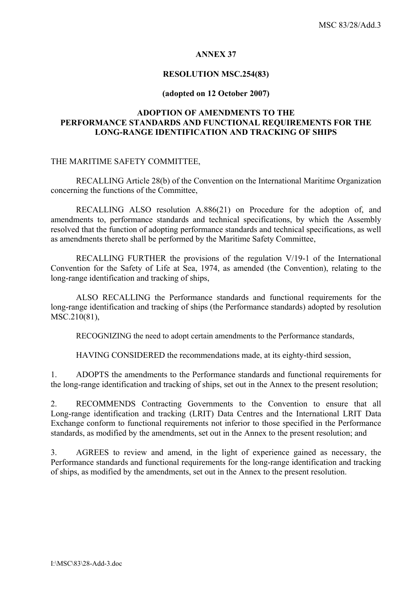#### **ANNEX 37**

#### **RESOLUTION MSC.254(83)**

#### **(adopted on 12 October 2007)**

# **ADOPTION OF AMENDMENTS TO THE PERFORMANCE STANDARDS AND FUNCTIONAL REQUIREMENTS FOR THE LONG-RANGE IDENTIFICATION AND TRACKING OF SHIPS**

### THE MARITIME SAFETY COMMITTEE,

RECALLING Article 28(b) of the Convention on the International Maritime Organization concerning the functions of the Committee,

 RECALLING ALSO resolution A.886(21) on Procedure for the adoption of, and amendments to, performance standards and technical specifications, by which the Assembly resolved that the function of adopting performance standards and technical specifications, as well as amendments thereto shall be performed by the Maritime Safety Committee,

 RECALLING FURTHER the provisions of the regulation V/19-1 of the International Convention for the Safety of Life at Sea, 1974, as amended (the Convention), relating to the long-range identification and tracking of ships,

 ALSO RECALLING the Performance standards and functional requirements for the long-range identification and tracking of ships (the Performance standards) adopted by resolution MSC.210(81),

RECOGNIZING the need to adopt certain amendments to the Performance standards,

HAVING CONSIDERED the recommendations made, at its eighty-third session,

1. ADOPTS the amendments to the Performance standards and functional requirements for the long-range identification and tracking of ships, set out in the Annex to the present resolution;

2. RECOMMENDS Contracting Governments to the Convention to ensure that all Long-range identification and tracking (LRIT) Data Centres and the International LRIT Data Exchange conform to functional requirements not inferior to those specified in the Performance standards, as modified by the amendments, set out in the Annex to the present resolution; and

3. AGREES to review and amend, in the light of experience gained as necessary, the Performance standards and functional requirements for the long-range identification and tracking of ships, as modified by the amendments, set out in the Annex to the present resolution.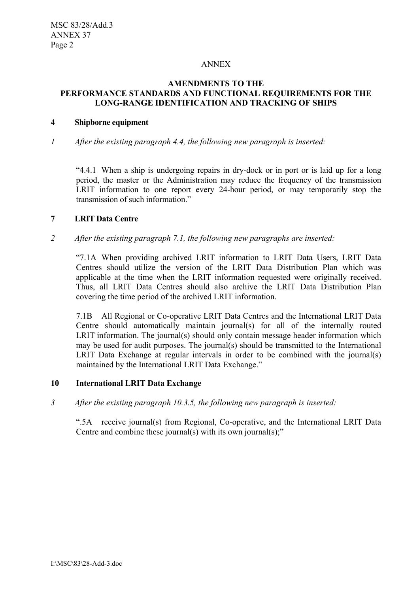### ANNEX

# **AMENDMENTS TO THE PERFORMANCE STANDARDS AND FUNCTIONAL REQUIREMENTS FOR THE LONG-RANGE IDENTIFICATION AND TRACKING OF SHIPS**

### **4 Shipborne equipment**

*1 After the existing paragraph 4.4, the following new paragraph is inserted:*

ì4.4.1 When a ship is undergoing repairs in dry-dock or in port or is laid up for a long period, the master or the Administration may reduce the frequency of the transmission LRIT information to one report every 24-hour period, or may temporarily stop the transmission of such information.<sup>"</sup>

### **7 LRIT Data Centre**

*2 After the existing paragraph 7.1, the following new paragraphs are inserted:* 

ì7.1A When providing archived LRIT information to LRIT Data Users, LRIT Data Centres should utilize the version of the LRIT Data Distribution Plan which was applicable at the time when the LRIT information requested were originally received. Thus, all LRIT Data Centres should also archive the LRIT Data Distribution Plan covering the time period of the archived LRIT information.

7.1B All Regional or Co-operative LRIT Data Centres and the International LRIT Data Centre should automatically maintain journal(s) for all of the internally routed LRIT information. The journal(s) should only contain message header information which may be used for audit purposes. The journal(s) should be transmitted to the International LRIT Data Exchange at regular intervals in order to be combined with the journal(s) maintained by the International LRIT Data Exchange."

## **10 International LRIT Data Exchange**

*3 After the existing paragraph 10.3.5, the following new paragraph is inserted:* 

ì.5A receive journal(s) from Regional, Co-operative, and the International LRIT Data Centre and combine these journal(s) with its own journal(s);"